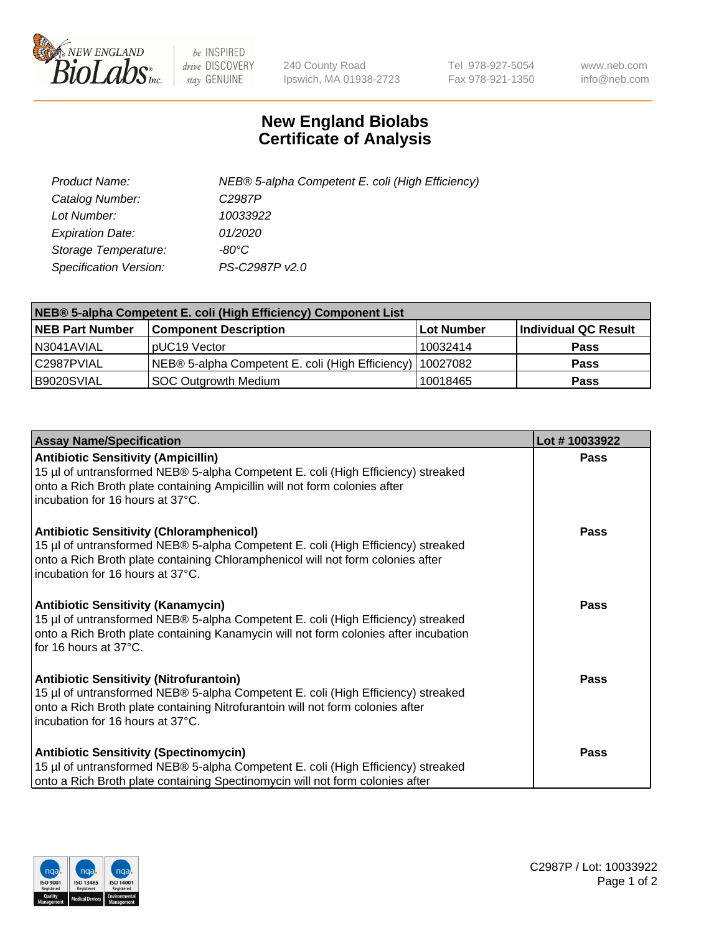

 $be$  INSPIRED drive DISCOVERY stay GENUINE

240 County Road Ipswich, MA 01938-2723 Tel 978-927-5054 Fax 978-921-1350 www.neb.com info@neb.com

## **New England Biolabs Certificate of Analysis**

| Product Name:           | NEB® 5-alpha Competent E. coli (High Efficiency) |
|-------------------------|--------------------------------------------------|
| Catalog Number:         | C <sub>2987</sub> P                              |
| Lot Number:             | 10033922                                         |
| <b>Expiration Date:</b> | 01/2020                                          |
| Storage Temperature:    | -80°C                                            |
| Specification Version:  | PS-C2987P v2.0                                   |

| NEB® 5-alpha Competent E. coli (High Efficiency) Component List |                                                             |            |                      |  |
|-----------------------------------------------------------------|-------------------------------------------------------------|------------|----------------------|--|
| <b>NEB Part Number</b>                                          | <b>Component Description</b>                                | Lot Number | Individual QC Result |  |
| N3041AVIAL                                                      | pUC19 Vector                                                | 10032414   | <b>Pass</b>          |  |
| C2987PVIAL                                                      | NEB® 5-alpha Competent E. coli (High Efficiency)   10027082 |            | <b>Pass</b>          |  |
| B9020SVIAL                                                      | <b>SOC Outgrowth Medium</b>                                 | 10018465   | <b>Pass</b>          |  |

| <b>Assay Name/Specification</b>                                                                                                                                                                                                                            | Lot #10033922 |
|------------------------------------------------------------------------------------------------------------------------------------------------------------------------------------------------------------------------------------------------------------|---------------|
| <b>Antibiotic Sensitivity (Ampicillin)</b><br>15 µl of untransformed NEB® 5-alpha Competent E. coli (High Efficiency) streaked<br>onto a Rich Broth plate containing Ampicillin will not form colonies after<br>incubation for 16 hours at 37°C.           | <b>Pass</b>   |
| <b>Antibiotic Sensitivity (Chloramphenicol)</b><br>15 µl of untransformed NEB® 5-alpha Competent E. coli (High Efficiency) streaked<br>onto a Rich Broth plate containing Chloramphenicol will not form colonies after<br>incubation for 16 hours at 37°C. | Pass          |
| Antibiotic Sensitivity (Kanamycin)<br>15 µl of untransformed NEB® 5-alpha Competent E. coli (High Efficiency) streaked<br>onto a Rich Broth plate containing Kanamycin will not form colonies after incubation<br>for 16 hours at 37°C.                    | Pass          |
| <b>Antibiotic Sensitivity (Nitrofurantoin)</b><br>15 µl of untransformed NEB® 5-alpha Competent E. coli (High Efficiency) streaked<br>onto a Rich Broth plate containing Nitrofurantoin will not form colonies after<br>incubation for 16 hours at 37°C.   | <b>Pass</b>   |
| <b>Antibiotic Sensitivity (Spectinomycin)</b><br>15 µl of untransformed NEB® 5-alpha Competent E. coli (High Efficiency) streaked<br>onto a Rich Broth plate containing Spectinomycin will not form colonies after                                         | Pass          |